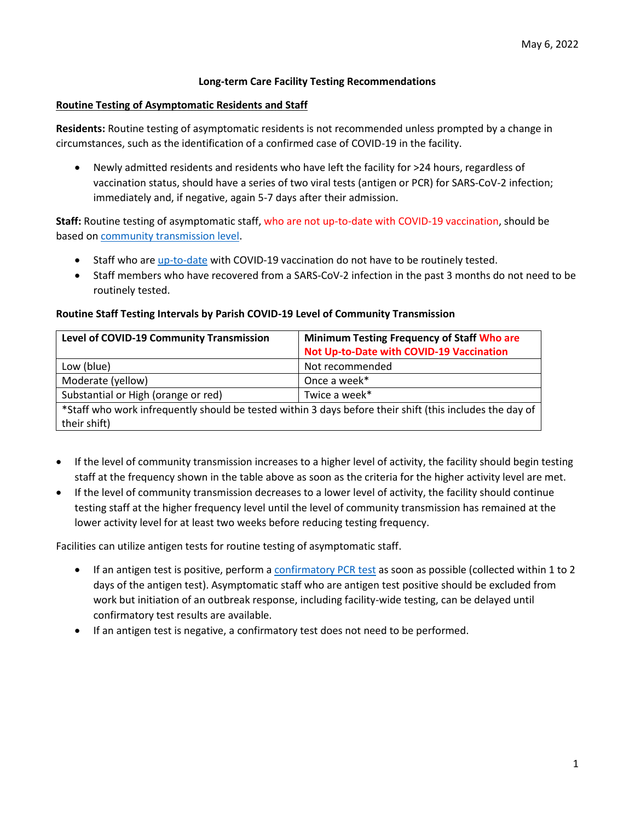# **Long-term Care Facility Testing Recommendations**

### **Routine Testing of Asymptomatic Residents and Staff**

**Residents:** Routine testing of asymptomatic residents is not recommended unless prompted by a change in circumstances, such as the identification of a confirmed case of COVID-19 in the facility.

 Newly admitted residents and residents who have left the facility for >24 hours, regardless of vaccination status, should have a series of two viral tests (antigen or PCR) for SARS-CoV-2 infection; immediately and, if negative, again 5-7 days after their admission.

# **Staff:** Routine testing of asymptomatic staff, who are not up-to-date with COVID-19 vaccination, should be based on [community transmission level.](#page-2-0)

- Staff who are [up-to-date](#page-5-0) with COVID-19 vaccination do not have to be routinely tested.
- Staff members who have recovered from a SARS-CoV-2 infection in the past 3 months do not need to be routinely tested.

## **Routine Staff Testing Intervals by Parish COVID-19 Level of Community Transmission**

| <b>Level of COVID-19 Community Transmission</b>                                                          | <b>Minimum Testing Frequency of Staff Who are</b> |  |  |
|----------------------------------------------------------------------------------------------------------|---------------------------------------------------|--|--|
|                                                                                                          | Not Up-to-Date with COVID-19 Vaccination          |  |  |
| Low (blue)                                                                                               | Not recommended                                   |  |  |
| Moderate (yellow)                                                                                        | Once a week*                                      |  |  |
| Substantial or High (orange or red)                                                                      | Twice a week*                                     |  |  |
| *Staff who work infrequently should be tested within 3 days before their shift (this includes the day of |                                                   |  |  |
| their shift)                                                                                             |                                                   |  |  |

- If the level of community transmission increases to a higher level of activity, the facility should begin testing staff at the frequency shown in the table above as soon as the criteria for the higher activity level are met.
- If the level of community transmission decreases to a lower level of activity, the facility should continue testing staff at the higher frequency level until the level of community transmission has remained at the lower activity level for at least two weeks before reducing testing frequency.

Facilities can utilize antigen tests for routine testing of asymptomatic staff.

- If an antigen test is positive, perform [a confirmatory PCR](#page-5-1) test as soon as possible (collected within 1 to 2 days of the antigen test). Asymptomatic staff who are antigen test positive should be excluded from work but initiation of an outbreak response, including facility-wide testing, can be delayed until confirmatory test results are available.
- If an antigen test is negative, a confirmatory test does not need to be performed.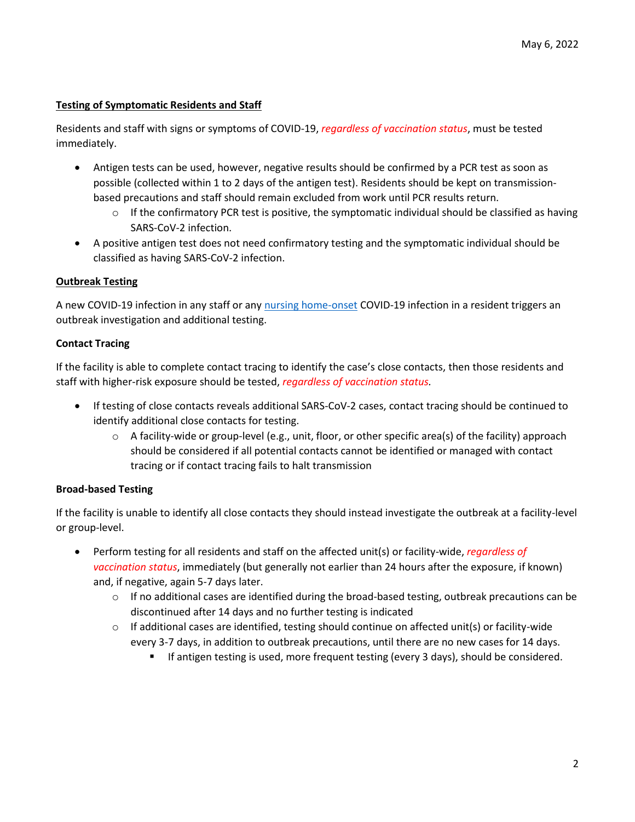# **Testing of Symptomatic Residents and Staff**

Residents and staff with signs or symptoms of COVID-19, *regardless of vaccination status*, must be tested immediately.

- Antigen tests can be used, however, negative results should be confirmed by a PCR test as soon as possible (collected within 1 to 2 days of the antigen test). Residents should be kept on transmissionbased precautions and staff should remain excluded from work until PCR results return.
	- $\circ$  If the confirmatory PCR test is positive, the symptomatic individual should be classified as having SARS-CoV-2 infection.
- A positive antigen test does not need confirmatory testing and the symptomatic individual should be classified as having SARS-CoV-2 infection.

# **Outbreak Testing**

A new COVID-19 infection in any staff or any [nursing home-onset](#page-5-2) COVID-19 infection in a resident triggers an outbreak investigation and additional testing.

# **Contact Tracing**

If the facility is able to complete contact tracing to identify the case's close contacts, then those residents and staff with higher-risk exposure should be tested, *regardless of vaccination status.*

- If testing of close contacts reveals additional SARS-CoV-2 cases, contact tracing should be continued to identify additional close contacts for testing.
	- $\circ$  A facility-wide or group-level (e.g., unit, floor, or other specific area(s) of the facility) approach should be considered if all potential contacts cannot be identified or managed with contact tracing or if contact tracing fails to halt transmission

# **Broad-based Testing**

If the facility is unable to identify all close contacts they should instead investigate the outbreak at a facility-level or group-level.

- Perform testing for all residents and staff on the affected unit(s) or facility-wide, *regardless of vaccination status*, immediately (but generally not earlier than 24 hours after the exposure, if known) and, if negative, again 5-7 days later.
	- $\circ$  If no additional cases are identified during the broad-based testing, outbreak precautions can be discontinued after 14 days and no further testing is indicated
	- $\circ$  If additional cases are identified, testing should continue on affected unit(s) or facility-wide every 3-7 days, in addition to outbreak precautions, until there are no new cases for 14 days.
		- If antigen testing is used, more frequent testing (every 3 days), should be considered.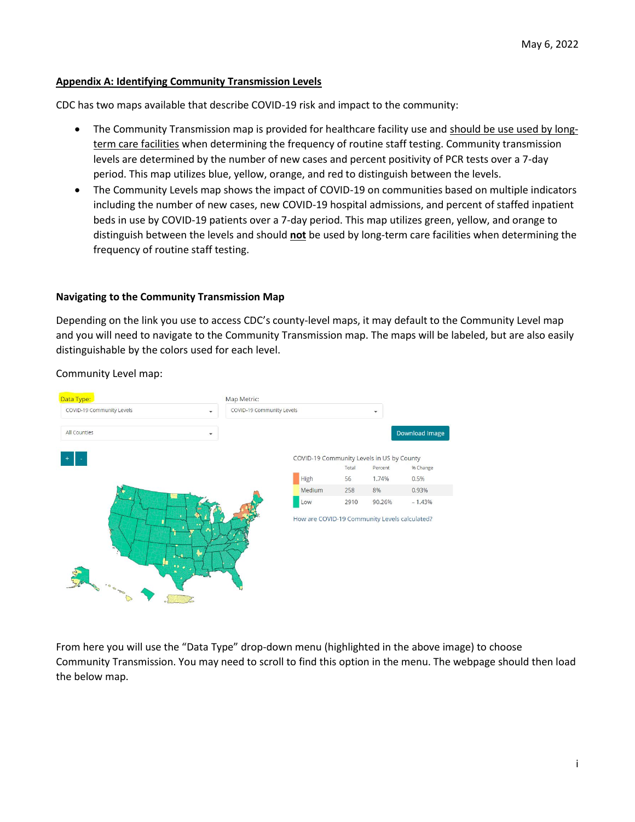#### <span id="page-2-0"></span>**Appendix A: Identifying Community Transmission Levels**

CDC has two maps available that describe COVID-19 risk and impact to the community:

- The Community Transmission map is provided for healthcare facility use and should be use used by longterm care facilities when determining the frequency of routine staff testing. Community transmission levels are determined by the number of new cases and percent positivity of PCR tests over a 7-day period. This map utilizes blue, yellow, orange, and red to distinguish between the levels.
- The Community Levels map shows the impact of COVID-19 on communities based on multiple indicators including the number of new cases, new COVID-19 hospital admissions, and percent of staffed inpatient beds in use by COVID-19 patients over a 7-day period. This map utilizes green, yellow, and orange to distinguish between the levels and should **not** be used by long-term care facilities when determining the frequency of routine staff testing.

#### **Navigating to the Community Transmission Map**

Depending on the link you use to access CDC's county-level maps, it may default to the Community Level map and you will need to navigate to the Community Transmission map. The maps will be labeled, but are also easily distinguishable by the colors used for each level.

Data Type: Map Metric: COVID-19 Community Levels COVID-19 Community Levels  $\ddot{}$  $\ddot{\phantom{0}}$ All Counties Download Image COVID-19 Community Levels in US by County Total Percent % Change 56  $174%$ High  $0.5%$ Medium 258 8% 0.93% 2910 90.26%  $-1.43%$ Low How are COVID-19 Community Levels calculated?

Community Level map:

From here you will use the "Data Type" drop-down menu (highlighted in the above image) to choose Community Transmission. You may need to scroll to find this option in the menu. The webpage should then load the below map.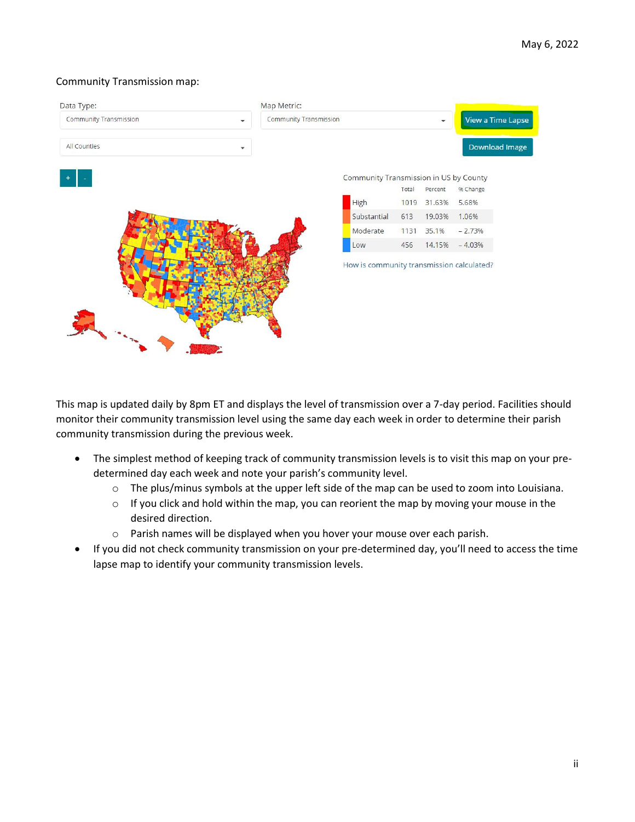### Community Transmission map:



This map is updated daily by 8pm ET and displays the level of transmission over a 7-day period. Facilities should monitor their community transmission level using the same day each week in order to determine their parish community transmission during the previous week.

- The simplest method of keeping track of community transmission levels is to visit this map on your predetermined day each week and note your parish's community level.
	- $\circ$  The plus/minus symbols at the upper left side of the map can be used to zoom into Louisiana.
	- $\circ$  If you click and hold within the map, you can reorient the map by moving your mouse in the desired direction.
	- o Parish names will be displayed when you hover your mouse over each parish.
- If you did not check community transmission on your pre-determined day, you'll need to access the time lapse map to identify your community transmission levels.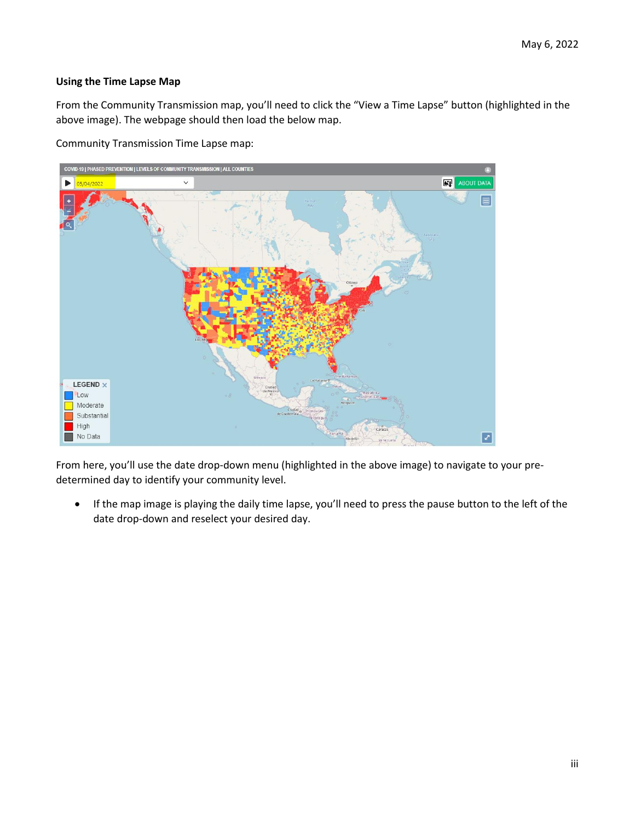# **Using the Time Lapse Map**

From the Community Transmission map, you'll need to click the "View a Time Lapse" button (highlighted in the above image). The webpage should then load the below map.

Community Transmission Time Lapse map:



From here, you'll use the date drop-down menu (highlighted in the above image) to navigate to your predetermined day to identify your community level.

 If the map image is playing the daily time lapse, you'll need to press the pause button to the left of the date drop-down and reselect your desired day.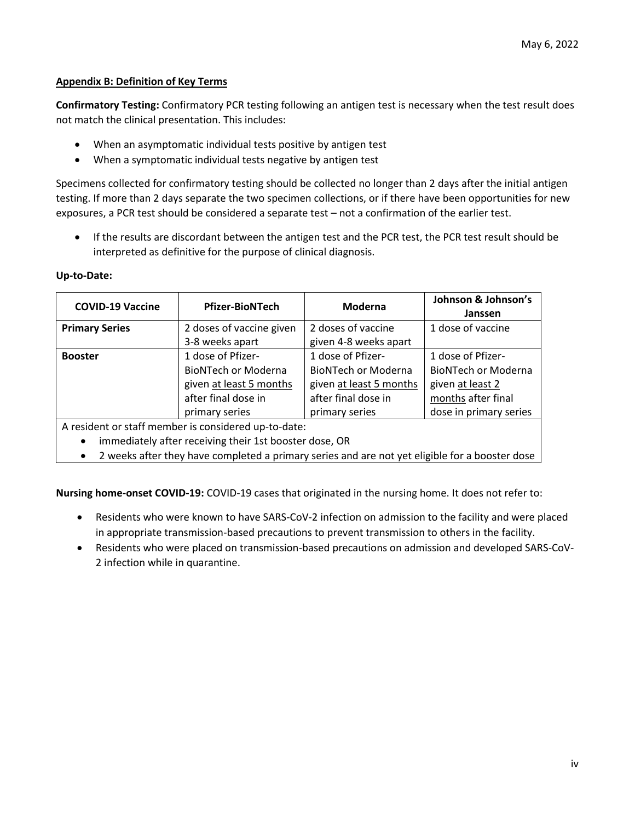# **Appendix B: Definition of Key Terms**

<span id="page-5-1"></span>**Confirmatory Testing:** Confirmatory PCR testing following an antigen test is necessary when the test result does not match the clinical presentation. This includes:

- When an asymptomatic individual tests positive by antigen test
- When a symptomatic individual tests negative by antigen test

Specimens collected for confirmatory testing should be collected no longer than 2 days after the initial antigen testing. If more than 2 days separate the two specimen collections, or if there have been opportunities for new exposures, a PCR test should be considered a separate test – not a confirmation of the earlier test.

 If the results are discordant between the antigen test and the PCR test, the PCR test result should be interpreted as definitive for the purpose of clinical diagnosis.

#### <span id="page-5-0"></span>**Up-to-Date:**

| <b>COVID-19 Vaccine</b> | <b>Pfizer-BioNTech</b>     | Moderna                    | Johnson & Johnson's<br>Janssen |
|-------------------------|----------------------------|----------------------------|--------------------------------|
| <b>Primary Series</b>   | 2 doses of vaccine given   | 2 doses of vaccine         | 1 dose of vaccine              |
|                         | 3-8 weeks apart            | given 4-8 weeks apart      |                                |
| <b>Booster</b>          | 1 dose of Pfizer-          | 1 dose of Pfizer-          | 1 dose of Pfizer-              |
|                         | <b>BioNTech or Moderna</b> | <b>BioNTech or Moderna</b> | <b>BioNTech or Moderna</b>     |
| given at least 5 months |                            | given at least 5 months    | given at least 2               |
|                         | after final dose in        | after final dose in        | months after final             |
|                         | primary series             | primary series             | dose in primary series         |

A resident or staff member is considered up-to-date:

- immediately after receiving their 1st booster dose, OR
- 2 weeks after they have completed a primary series and are not yet eligible for a booster dose

<span id="page-5-2"></span>**Nursing home-onset COVID-19:** COVID-19 cases that originated in the nursing home. It does not refer to:

- Residents who were known to have SARS-CoV-2 infection on admission to the facility and were placed in appropriate transmission-based precautions to prevent transmission to others in the facility.
- Residents who were placed on transmission-based precautions on admission and developed SARS-CoV-2 infection while in quarantine.